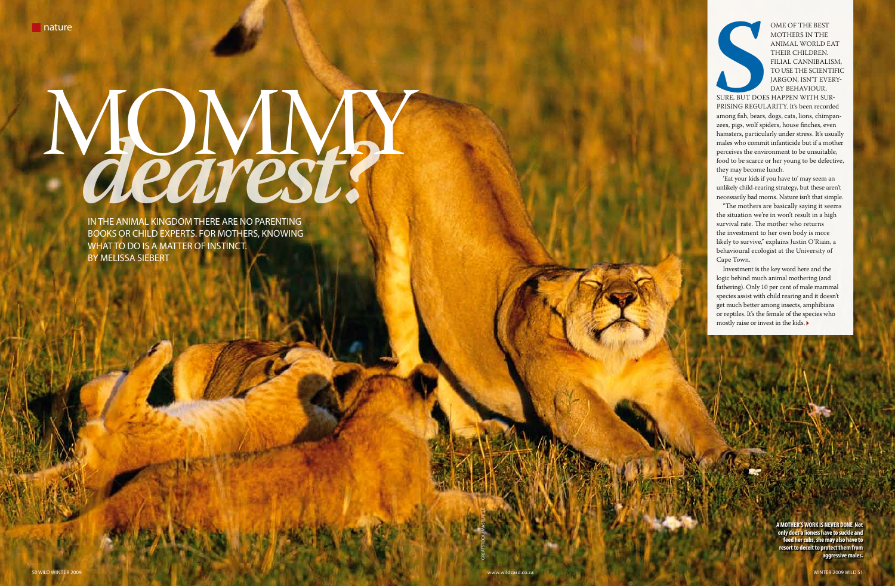IN THE ANIMAL KINGDOM THERE ARE NO PARENTING books or child experts. For mothers, knowing WHAT TO DO IS A MATTER OF INSTINCT. By Melissa Siebert

## Mommy **<sup>S</sup> CLEATEST!**



ome of the best mothers in the animal world eat their children. Filial cannibalism, to use the scientific jargon, isn't every-DAY BEHAVIOUR,

sure, but does happen with surprising regularity. It's been recorded among fish, bears, dogs, cats, lions, chimpanzees, pigs, wolf spiders, house finches, even hamsters, particularly under stress. It's usually males who commit infanticide but if a mother perceives the environment to be unsuitable, food to be scarce or her young to be defective, they may become lunch.

50 WILD WINTER 2009 www.wildcard.co.za WINTER 2009 WILD 51 GREATSTOCK / Masterfile **A MOTHER'S WORK IS NEVER DONE Not only does a lioness have to suckle and feed her cubs, she may also have to resort to deceit to protect them from aggressive males.**

'Eat your kids if you have to' may seem an unlikely child-rearing strategy, but these aren't necessarily bad moms. Nature isn't that simple.

"The mothers are basically saying it seems the situation we're in won't result in a high survival rate. The mother who returns the investment to her own body is more likely to survive," explains Justin O'Riain, a behavioural ecologist at the University of Cape Town.

Investment is the key word here and the logic behind much animal mothering (and fathering). Only 10 per cent of male mammal species assist with child rearing and it doesn't get much better among insects, amphibians or reptiles. It's the female of the species who mostly raise or invest in the kids.